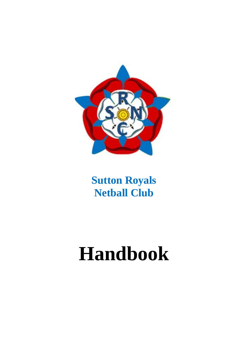

# **Handbook**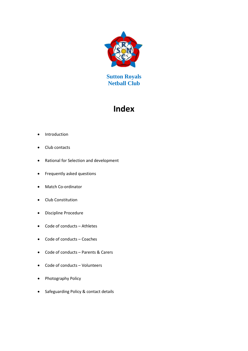

# **Index**

- Introduction
- Club contacts
- Rational for Selection and development
- Frequently asked questions
- Match Co-ordinator
- Club Constitution
- Discipline Procedure
- Code of conducts Athletes
- Code of conducts Coaches
- Code of conducts Parents & Carers
- Code of conducts Volunteers
- Photography Policy
- Safeguarding Policy & contact details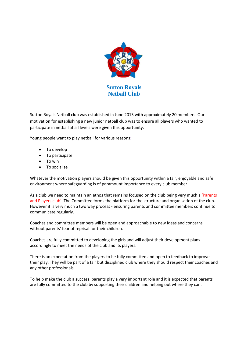

Sutton Royals Netball club was established in June 2013 with approximately 20 members. Our motivation for establishing a new junior netball club was to ensure all players who wanted to participate in netball at all levels were given this opportunity.

Young people want to play netball for various reasons:

- To develop
- To participate
- To win
- To socialise

Whatever the motivation players should be given this opportunity within a fair, enjoyable and safe environment where safeguarding is of paramount importance to every club member.

As a club we need to maintain an ethos that remains focused on the club being very much a 'Parents and Players club'. The Committee forms the platform for the structure and organisation of the club. However it is very much a two way process - ensuring parents and committee members continue to communicate regularly.

Coaches and committee members will be open and approachable to new ideas and concerns without parents' fear of reprisal for their children.

Coaches are fully committed to developing the girls and will adjust their development plans accordingly to meet the needs of the club and its players.

There is an expectation from the players to be fully committed and open to feedback to improve their play. They will be part of a fair but disciplined club where they should respect their coaches and any other professionals.

To help make the club a success, parents play a very important role and it is expected that parents are fully committed to the club by supporting their children and helping out where they can.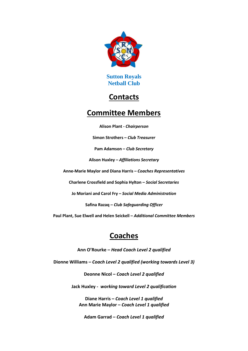

# **Contacts**

# **Committee Members**

**Alison Plant -** *Chairperson*

**Simon Strothers –** *Club Treasurer*

**Pam Adamson –** *Club Secretary*

**Alison Huxley –** *Affiliations Secretary*

**Anne-Marie Maylor and Diana Harris –** *Coaches Representatives*

**Charlene Crossfield and Sophia Hylton –** *Social Secretaries*

**Jo Moriani and Carol Fry –** *Social Media Administration*

**Safina Razaq –** *Club Safeguarding Officer*

**Paul Plant, Sue Elwell and Helen Seickell –** *Additional Committee Members*

# **Coaches**

**Ann O'Rourke –** *Head Coach Level 2 qualified*

**Dionne Williams –** *Coach Level 2 qualified (working towards Level 3)*

**Deonne Nicol –** *Coach Level 2 qualified*

**Jack Huxley -** *working toward Level 2 qualification*

**Diane Harris –** *Coach Level 1 qualified* **Ann Marie Maylor –** *Coach Level 1 qualified*

**Adam Garrad –** *Coach Level 1 qualified*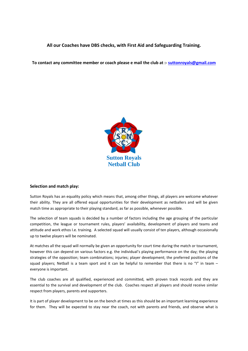# **All our Coaches have DBS checks, with First Aid and Safeguarding Training.**

### **To contact any committee member or coach please e mail the club at :- [suttonroyals@gmail.com](mailto:suttonroyals@gmail.com)**



#### **Selection and match play:**

Sutton Royals has an equality policy which means that, among other things, all players are welcome whatever their ability. They are all offered equal opportunities for their development as netballers and will be given match time as appropriate to their playing standard, as far as possible, whenever possible.

The selection of team squads is decided by a number of factors including the age grouping of the particular competition, the league or tournament rules, players' availability, development of players and teams and attitude and work ethos I.e. training. A selected squad will usually consist of ten players, although occasionally up to twelve players will be nominated.

At matches all the squad will normally be given an opportunity for court time during the match or tournament, however this can depend on various factors e.g. the individual's playing performance on the day; the playing strategies of the opposition; team combinations; injuries; player development; the preferred positions of the squad players; Netball is a team sport and it can be helpful to remember that there is no "I" in team  $$ everyone is important.

The club coaches are all qualified, experienced and committed, with proven track records and they are essential to the survival and development of the club. Coaches respect all players and should receive similar respect from players, parents and supporters.

It is part of player development to be on the bench at times as this should be an important learning experience for them. They will be expected to stay near the coach, not with parents and friends, and observe what is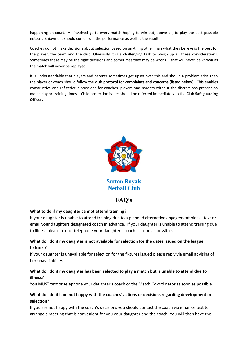happening on court. All involved go to every match hoping to win but, above all, to play the best possible netball. Enjoyment should come from the performance as well as the result.

Coaches do not make decisions about selection based on anything other than what they believe is the best for the player, the team and the club. Obviously it is a challenging task to weigh up all these considerations. Sometimes these may be the right decisions and sometimes they may be wrong – that will never be known as the match will never be replayed!

It is understandable that players and parents sometimes get upset over this and should a problem arise then the player or coach should follow the club **protocol for complaints and concerns (listed below).** This enables constructive and reflective discussions for coaches, players and parents without the distractions present on match day or training times.. Child protection issues should be referred immediately to the **Club Safeguarding Officer.**



**Sutton Royals Netball Club**

# **FAQ's**

# **What to do if my daughter cannot attend training?**

If your daughter is unable to attend training due to a planned alternative engagement please text or email your daughters designated coach in advance. If your daughter is unable to attend training due to illness please text or telephone your daughter's coach as soon as possible.

# **What do I do if my daughter is not available for selection for the dates issued on the league fixtures?**

If your daughter is unavailable for selection for the fixtures issued please reply via email advising of her unavailability.

# **What do I do if my daughter has been selected to play a match but is unable to attend due to illness?**

You MUST text or telephone your daughter's coach or the Match Co-ordinator as soon as possible.

# **What do I do if I am not happy with the coaches' actions or decisions regarding development or selection?**

If you are not happy with the coach's decisions you should contact the coach via email or text to arrange a meeting that is convenient for you your daughter and the coach. You will then have the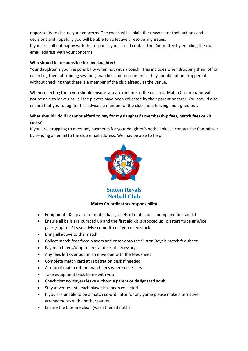opportunity to discuss your concerns. The coach will explain the reasons for their actions and decisions and hopefully you will be able to collectively resolve any issues.

If you are still not happy with the response you should contact the Committee by emailing the club email address with your concerns

# **Who should be responsible for my daughter?**

Your daughter is your responsibility when not with a coach. This includes when dropping them off or collecting them at training sessions, matches and tournaments. They should not be dropped off without checking that there is a member of the club already at the venue.

When collecting them you should ensure you are on time as the coach or Match Co-ordinator will not be able to leave until all the players have been collected by their parent or carer. You should also ensure that your daughter has advised a member of the club she is leaving and signed out.

# **What should I do if I cannot afford to pay for my daughter's membership fees, match fees or kit costs?**

If you are struggling to meet any payments for your daughter's netball please contact the Committee by sending an email to the club email address. We may be able to help.



**Sutton Royals Netball Club**

# **Match Co-ordinators responsibility**

- Equipment Keep a set of match balls, 2 sets of match bibs, pump and first aid kit
- Ensure all balls are pumped up and the first aid kit is stocked up (plasters/tube grip/Ice packs/tape) – Please advise committee if you need stock
- Bring all above to the match
- Collect match fees from players and enter onto the Sutton Royals match fee sheet
- Pay match fees/umpire fees at desk; if necessary
- Any fees left over put in an envelope with the fees sheet
- Complete match card at registration desk if needed
- At end of match refund match fees where necessary
- Take equipment back home with you
- Check that no players leave without a parent or designated adult
- Stay at venue until each player has been collected
- If you are unable to be a match co-ordinator for any game please make alternative arrangements with another parent
- Ensure the bibs are clean (wash them if not!!)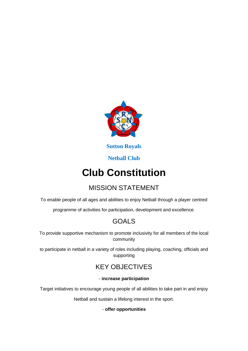

**Sutton Royals**

# **Netball Club**

# **Club Constitution**

# MISSION STATEMENT

To enable people of all ages and abilities to enjoy Netball through a player centred

programme of activities for participation, development and excellence.

# GOALS

To provide supportive mechanism to promote inclusivity for all members of the local community

to participate in netball in a variety of roles including playing, coaching, officials and supporting

# KEY OBJECTIVES

# - **increase participation**

Target initiatives to encourage young people of all abilities to take part in and enjoy

Netball and sustain a lifelong interest in the sport.

# - **offer opportunities**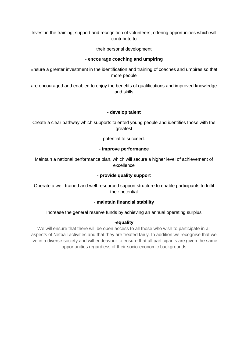Invest in the training, support and recognition of volunteers, offering opportunities which will contribute to

their personal development

# - **encourage coaching and umpiring**

Ensure a greater investment in the identification and training of coaches and umpires so that more people

are encouraged and enabled to enjoy the benefits of qualifications and improved knowledge and skills

# - **develop talent**

Create a clear pathway which supports talented young people and identifies those with the greatest

potential to succeed.

# - **improve performance**

Maintain a national performance plan, which will secure a higher level of achievement of excellence

# - **provide quality support**

Operate a well-trained and well-resourced support structure to enable participants to fulfil their potential

# - **maintain financial stability**

# Increase the general reserve funds by achieving an annual operating surplus

# **-equality**

We will ensure that there will be open access to all those who wish to participate in all aspects of Netball activities and that they are treated fairly. In addition we recognise that we live in a diverse society and will endeavour to ensure that all participants are given the same opportunities regardless of their socio-economic backgrounds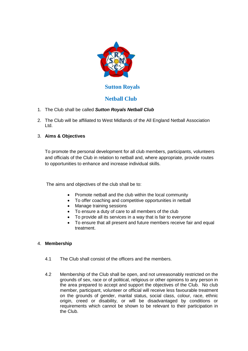

# **Sutton Royals**

# **Netball Club**

- 1. The Club shall be called *Sutton Royals Netball Club*
- 2. The Club will be affiliated to West Midlands of the All England Netball Association Ltd.
- 3. **Aims & Objectives**

To promote the personal development for all club members, participants, volunteers and officials of the Club in relation to netball and, where appropriate, provide routes to opportunities to enhance and increase individual skills.

The aims and objectives of the club shall be to:

- Promote netball and the club within the local community
- To offer coaching and competitive opportunities in netball
- Manage training sessions
- To ensure a duty of care to all members of the club
- To provide all its services in a way that is fair to everyone
- To ensure that all present and future members receive fair and equal treatment.

# 4. **Membership**

- 4.1 The Club shall consist of the officers and the members.
- 4.2 Membership of the Club shall be open, and not unreasonably restricted on the grounds of sex, race or of political, religious or other opinions to any person in the area prepared to accept and support the objectives of the Club. No club member, participant, volunteer or official will receive less favourable treatment on the grounds of gender, marital status, social class, colour, race, ethnic origin, creed or disability, or will be disadvantaged by conditions or requirements which cannot be shown to be relevant to their participation in the Club.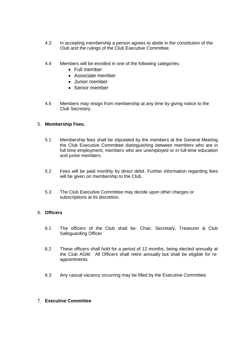- 4.3 In accepting membership a person agrees to abide in the constitution of the Club and the rulings of the Club Executive Committee.
- 4.4 Members will be enrolled in one of the following categories:
	- Full member
	- Associate member
	- Junior member
	- Senior member
- 4.5 Members may resign from membership at any time by giving notice to the Club Secretary.

# 5. **Membership Fees.**

- 5.1 Membership fees shall be stipulated by the members at the General Meeting the Club Executive Committee distinguishing between members who are in full time employment, members who are unemployed or in full-time education and junior members.
- 5.2 Fees will be paid monthly by direct debit. Further information regarding fees will be given on membership to the Club.
- 5.3 The Club Executive Committee may decide upon other charges or subscriptions at its discretion.

# 6. **Officers**

- 6.1 The officers of the Club shall be: Chair, Secretary, Treasurer & Club Safeguarding Officer
- 6.2 These officers shall hold for a period of 12 months, being elected annually at the Club AGM. All Officers shall retire annually but shall be eligible for reappointments.
- 6.3 Any casual vacancy occurring may be filled by the Executive Committee.

# 7. **Executive Committee**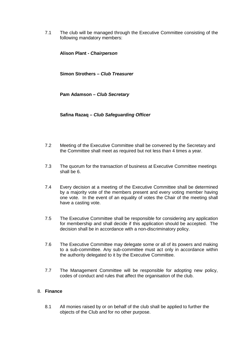7.1 The club will be managed through the Executive Committee consisting of the following mandatory members:

**Alison Plant -** *Chairperson*

**Simon Strothers –** *Club Treasurer*

**Pam Adamson –** *Club Secretary*

**Safina Razaq –** *Club Safeguarding Officer*

- 7.2 Meeting of the Executive Committee shall be convened by the Secretary and the Committee shall meet as required but not less than 4 times a year.
- 7.3 The quorum for the transaction of business at Executive Committee meetings shall be 6.
- 7.4 Every decision at a meeting of the Executive Committee shall be determined by a majority vote of the members present and every voting member having one vote. In the event of an equality of votes the Chair of the meeting shall have a casting vote.
- 7.5 The Executive Committee shall be responsible for considering any application for membership and shall decide if this application should be accepted. The decision shall be in accordance with a non-discriminatory policy.
- 7.6 The Executive Committee may delegate some or all of its powers and making to a sub-committee. Any sub-committee must act only in accordance within the authority delegated to it by the Executive Committee.
- 7.7 The Management Committee will be responsible for adopting new policy, codes of conduct and rules that affect the organisation of the club.

# 8. **Finance**

8.1 All monies raised by or on behalf of the club shall be applied to further the objects of the Club and for no other purpose.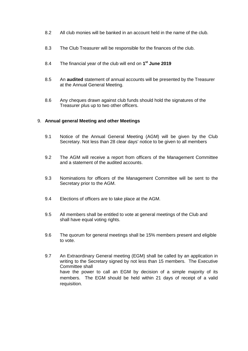- 8.2 All club monies will be banked in an account held in the name of the club.
- 8.3 The Club Treasurer will be responsible for the finances of the club.
- 8.4 The financial year of the club will end on **1st June 2019**
- 8.5 An **audited** statement of annual accounts will be presented by the Treasurer at the Annual General Meeting.
- 8.6 Any cheques drawn against club funds should hold the signatures of the Treasurer plus up to two other officers.

## 9. **Annual general Meeting and other Meetings**

- 9.1 Notice of the Annual General Meeting (AGM) will be given by the Club Secretary. Not less than 28 clear days' notice to be given to all members
- 9.2 The AGM will receive a report from officers of the Management Committee and a statement of the audited accounts.
- 9.3 Nominations for officers of the Management Committee will be sent to the Secretary prior to the AGM.
- 9.4 Elections of officers are to take place at the AGM.
- 9.5 All members shall be entitled to vote at general meetings of the Club and shall have equal voting rights.
- 9.6 The quorum for general meetings shall be 15% members present and eligible to vote.
- 9.7 An Extraordinary General meeting (EGM) shall be called by an application in writing to the Secretary signed by not less than 15 members. The Executive Committee shall have the power to call an EGM by decision of a simple majority of its members. The EGM should be held within 21 days of receipt of a valid requisition.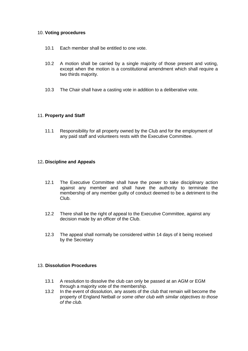# 10. **Voting procedures**

- 10.1 Each member shall be entitled to one vote.
- 10.2 A motion shall be carried by a single majority of those present and voting, except when the motion is a constitutional amendment which shall require a two thirds majority.
- 10.3 The Chair shall have a casting vote in addition to a deliberative vote.

# 11. **Property and Staff**

11.1 Responsibility for all property owned by the Club and for the employment of any paid staff and volunteers rests with the Executive Committee.

# 12**. Discipline and Appeals**

- 12.1 The Executive Committee shall have the power to take disciplinary action against any member and shall have the authority to terminate the membership of any member guilty of conduct deemed to be a detriment to the Club.
- 12.2 There shall be the right of appeal to the Executive Committee, against any decision made by an officer of the Club.
- 12.3 The appeal shall normally be considered within 14 days of it being received by the Secretary

## 13. **Dissolution Procedures**

- 13.1 A resolution to dissolve the club can only be passed at an AGM or EGM through a majority vote of the membership.
- 13.2 In the event of dissolution, any assets of the club that remain will become the property of England Netball *or some other club with similar objectives to those of the club.*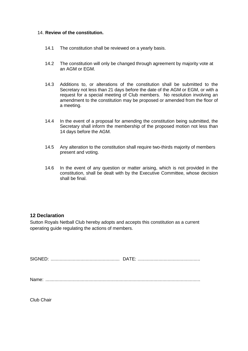# 14. **Review of the constitution.**

- 14.1 The constitution shall be reviewed on a yearly basis.
- 14.2 The constitution will only be changed through agreement by majority vote at an AGM or EGM.
- 14.3 Additions to, or alterations of the constitution shall be submitted to the Secretary not less than 21 days before the date of the AGM or EGM, or with a request for a special meeting of Club members. No resolution involving an amendment to the constitution may be proposed or amended from the floor of a meeting.
- 14.4 In the event of a proposal for amending the constitution being submitted, the Secretary shall inform the membership of the proposed motion not less than 14 days before the AGM.
- 14.5 Any alteration to the constitution shall require two-thirds majority of members present and voting.
- 14.6 In the event of any question or matter arising, which is not provided in the constitution, shall be dealt with by the Executive Committee, whose decision shall be final.

# **12 Declaration**

Sutton Royals Netball Club hereby adopts and accepts this constitution as a current operating guide regulating the actions of members.

SIGNED: ..................................................... DATE: ................................................

Name: .......................................................................................................................

Club Chair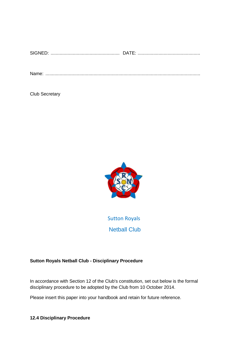| $\sim$ |  |
|--------|--|
|        |  |

Name: .......................................................................................................................

Club Secretary



Sutton Royals Netball Club

# **Sutton Royals Netball Club - Disciplinary Procedure**

In accordance with Section 12 of the Club's constitution, set out below is the formal disciplinary procedure to be adopted by the Club from 10 October 2014.

Please insert this paper into your handbook and retain for future reference.

**12.4 Disciplinary Procedure**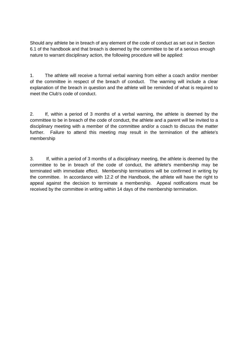Should any athlete be in breach of any element of the code of conduct as set out in Section 6.1 of the handbook and that breach is deemed by the committee to be of a serious enough nature to warrant disciplinary action, the following procedure will be applied:

1. The athlete will receive a formal verbal warning from either a coach and/or member of the committee in respect of the breach of conduct. The warning will include a clear explanation of the breach in question and the athlete will be reminded of what is required to meet the Club's code of conduct.

2. If, within a period of 3 months of a verbal warning, the athlete is deemed by the committee to be in breach of the code of conduct, the athlete and a parent will be invited to a disciplinary meeting with a member of the committee and/or a coach to discuss the matter further. Failure to attend this meeting may result in the termination of the athlete's membership

3. If, within a period of 3 months of a disciplinary meeting, the athlete is deemed by the committee to be in breach of the code of conduct, the athlete's membership may be terminated with immediate effect. Membership terminations will be confirmed in writing by the committee. In accordance with 12.2 of the Handbook, the athlete will have the right to appeal against the decision to terminate a membership. Appeal notifications must be received by the committee in writing within 14 days of the membership termination.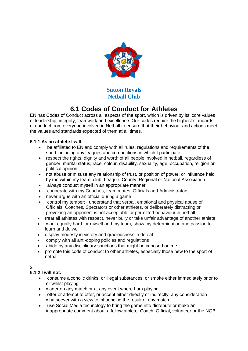

# **6.1 Codes of Conduct for Athletes**

EN has Codes of Conduct across all aspects of the sport, which is driven by its' core values of leadership, integrity, teamwork and excellence. Our codes require the highest standards of conduct from everyone involved in Netball to ensure that their behaviour and actions meet the values and standards expected of them at all times.

# **6.1.1 As an athlete I will:**

- be affiliated to EN and comply with all rules, regulations and requirements of the sport including any leagues and competitions in which I participate
- respect the rights, dignity and worth of all people involved in netball, regardless of gender, marital status, race, colour, disability, sexuality, age, occupation, religion or political opinion
- not abuse or misuse any relationship of trust, or position of power, or influence held by me within my team, club, League, County, Regional or National Association
- always conduct myself in an appropriate manner
- cooperate with my Coaches, team mates, Officials and Administrators
- never argue with an official during a game
- control my temper; I understand that verbal, emotional and physical abuse of Officials, Coaches, Spectators or other athletes, or deliberately distracting or provoking an opponent is not acceptable or permitted behaviour in netball
- treat all athletes with respect, never bully or take unfair advantage of another athlete
- work equally hard for myself and my team, show my determination and passion to learn and do well
- display modesty in victory and graciousness in defeat
- comply with all anti-doping policies and regulations
- abide by any disciplinary sanctions that might be imposed on me
- promote this code of conduct to other athletes, especially those new to the sport of netball

# $\mathfrak{D}$

# **6.1.2 I will not:**

- consume alcoholic drinks, or illegal substances, or smoke either immediately prior to or whilst playing
- wager on any match or at any event where I am playing
- offer or attempt to offer, or accept either directly or indirectly, any consideration whatsoever with a view to influencing the result of any match
- use Social Media technology to bring the game into disrepute or make an inappropriate comment about a fellow athlete, Coach, Official, volunteer or the NGB.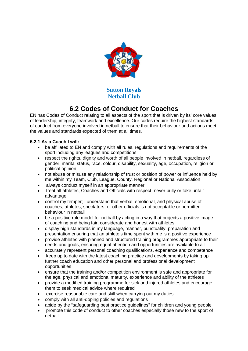

# **6.2 Codes of Conduct for Coaches**

EN has Codes of Conduct relating to all aspects of the sport that is driven by its' core values of leadership, integrity, teamwork and excellence. Our codes require the highest standards of conduct from everyone involved in netball to ensure that their behaviour and actions meet the values and standards expected of them at all times.

# **6.2.1 As a Coach I will:**

- be affiliated to EN and comply with all rules, regulations and requirements of the sport including any leagues and competitions
- respect the rights, dignity and worth of all people involved in netball, regardless of gender, marital status, race, colour, disability, sexuality, age, occupation, religion or political opinion
- not abuse or misuse any relationship of trust or position of power or influence held by me within my Team, Club, League, County, Regional or National Association
- always conduct myself in an appropriate manner
- treat all athletes, Coaches and Officials with respect, never bully or take unfair advantage
- control my temper; I understand that verbal, emotional, and physical abuse of coaches, athletes, spectators, or other officials is not acceptable or permitted behaviour in netball
- be a positive role model for netball by acting in a way that projects a positive image of coaching and being fair, considerate and honest with athletes
- display high standards in my language, manner, punctuality, preparation and presentation ensuring that an athlete's time spent with me is a positive experience
- provide athletes with planned and structured training programmes appropriate to their needs and goals, ensuring equal attention and opportunities are available to all
- accurately represent personal coaching qualifications, experience and competence
- keep up to date with the latest coaching practice and developments by taking up further coach education and other personal and professional development opportunities
- ensure that the training and/or competition environment is safe and appropriate for the age, physical and emotional maturity, experience and ability of the athletes
- provide a modified training programme for sick and injured athletes and encourage them to seek medical advice where required
- exercise reasonable care and skill when carrying out my duties
- comply with all anti-doping policies and regulations
- abide by the "safeguarding best practice guidelines" for children and young people
- promote this code of conduct to other coaches especially those new to the sport of netball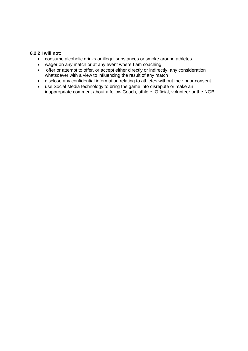# **6.2.2 I will not:**

- consume alcoholic drinks or illegal substances or smoke around athletes
- wager on any match or at any event where I am coaching
- offer or attempt to offer, or accept either directly or indirectly, any consideration whatsoever with a view to influencing the result of any match
- disclose any confidential information relating to athletes without their prior consent
- use Social Media technology to bring the game into disrepute or make an inappropriate comment about a fellow Coach, athlete, Official, volunteer or the NGB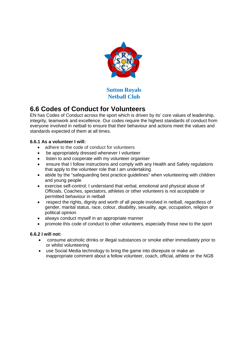

# **6.6 Codes of Conduct for Volunteers**

EN has Codes of Conduct across the sport which is driven by its' core values of leadership, integrity, teamwork and excellence. Our codes require the highest standards of conduct from everyone involved in netball to ensure that their behaviour and actions meet the values and standards expected of them at all times.

# **6.6.1 As a volunteer I will:**

- adhere to the code of conduct for volunteers
- be appropriately dressed whenever I volunteer
- listen to and cooperate with my volunteer organiser
- ensure that I follow instructions and comply with any Health and Safety regulations that apply to the volunteer role that I am undertaking
- abide by the "safeguarding best practice guidelines" when volunteering with children and young people
- exercise self-control; I understand that verbal, emotional and physical abuse of Officials, Coaches, spectators, athletes or other volunteers is not acceptable or permitted behaviour in netball
- respect the rights, dignity and worth of all people involved in netball, regardless of gender, marital status, race, colour, disability, sexuality, age, occupation, religion or political opinion
- always conduct myself in an appropriate manner
- promote this code of conduct to other volunteers, especially those new to the sport

# **6.6.2 I will not:**

- consume alcoholic drinks or illegal substances or smoke either immediately prior to or whilst volunteering
- use Social Media technology to bring the game into disrepute or make an inappropriate comment about a fellow volunteer, coach, official, athlete or the NGB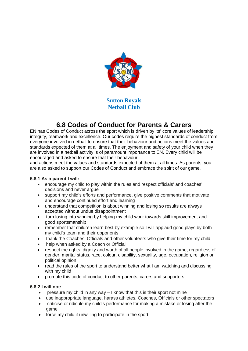

# **6.8 Codes of Conduct for Parents & Carers**

EN has Codes of Conduct across the sport which is driven by its' core values of leadership, integrity, teamwork and excellence. Our codes require the highest standards of conduct from everyone involved in netball to ensure that their behaviour and actions meet the values and standards expected of them at all times. The enjoyment and safety of your child when they are involved in a netball activity is of paramount importance to EN. Every child will be encouraged and asked to ensure that their behaviour

and actions meet the values and standards expected of them at all times. As parents, you are also asked to support our Codes of Conduct and embrace the spirit of our game.

# **6.8.1 As a parent I will***:*

- encourage my child to play within the rules and respect officials' and coaches' decisions and never argue
- support my child's efforts and performance, give positive comments that motivate and encourage continued effort and learning
- understand that competition is about winning and losing so results are always accepted without undue disappointment
- turn losing into winning by helping my child work towards skill improvement and good sportsmanship
- remember that children learn best by example so I will applaud good plays by both my child's team and their opponents
- thank the Coaches, Officials and other volunteers who give their time for my child
- help when asked by a Coach or Official
- respect the rights, dignity and worth of all people involved in the game, regardless of gender, marital status, race, colour, disability, sexuality, age, occupation, religion or political opinion
- read the rules of the sport to understand better what I am watching and discussing with my child
- promote this code of conduct to other parents, carers and supporters

# **6.8.2 I will not:**

- pressure my child in any way  $-1$  know that this is their sport not mine
- use inappropriate language, harass athletes, Coaches, Officials or other spectators
- criticise or ridicule my child's performance for making a mistake or losing after the game
- force my child if unwilling to participate in the sport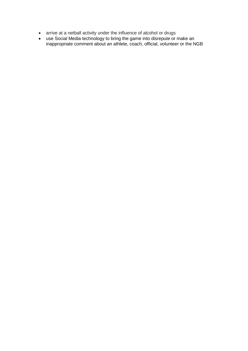- arrive at a netball activity under the influence of alcohol or drugs
- use Social Media technology to bring the game into disrepute or make an inappropriate comment about an athlete, coach, official, volunteer or the NGB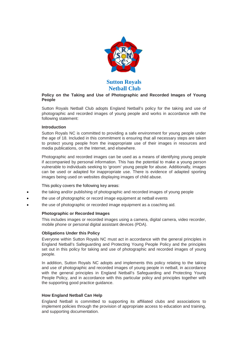

## **Policy on the Taking and Use of Photographic and Recorded Images of Young People**

Sutton Royals Netball Club adopts England Netball's policy for the taking and use of photographic and recorded images of young people and works in accordance with the following statement:

### **Introduction**

Sutton Royals NC is committed to providing a safe environment for young people under the age of 18. Included in this commitment is ensuring that all necessary steps are taken to protect young people from the inappropriate use of their images in resources and media publications, on the Internet, and elsewhere.

Photographic and recorded images can be used as a means of identifying young people if accompanied by personal information. This has the potential to make a young person vulnerable to individuals seeking to 'groom' young people for abuse. Additionally, images can be used or adapted for inappropriate use. There is evidence of adapted sporting images being used on websites displaying images of child abuse.

## This policy covers the following key areas:

- the taking and/or publishing of photographic and recorded images of young people
- the use of photographic or record image equipment at netball events
- the use of photographic or recorded image equipment as a coaching aid.

## **Photographic or Recorded Images**

This includes images or recorded images using a camera, digital camera, video recorder, mobile phone or personal digital assistant devices (PDA).

## **Obligations Under this Policy**

Everyone within Sutton Royals NC must act in accordance with the general principles in England Netball's Safeguarding and Protecting Young People Policy and the principles set out in this policy for taking and use of photographic and recorded images of young people.

In addition, Sutton Royals NC adopts and implements this policy relating to the taking and use of photographic and recorded images of young people in netball, in accordance with the general principles in England Netball's Safeguarding and Protecting Young People Policy, and in accordance with this particular policy and principles together with the supporting good practice guidance.

#### **How England Netball Can Help**

England Netball is committed to supporting its affiliated clubs and associations to implement policies through the provision of appropriate access to education and training, and supporting documentation.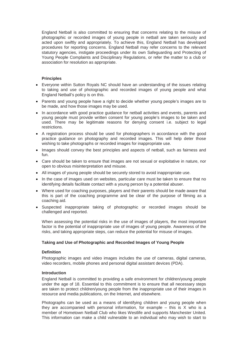England Netball is also committed to ensuring that concerns relating to the misuse of photographic or recorded images of young people in netball are taken seriously and acted upon swiftly and appropriately. To achieve this, England Netball has developed procedures for reporting concerns. England Netball may refer concerns to the relevant statutory agencies, instigate proceedings under its own Safeguarding and Protecting of Young People Complaints and Disciplinary Regulations, or refer the matter to a club or association for resolution as appropriate.

## **Principles**

- Everyone within Sutton Royals NC should have an understanding of the issues relating to taking and use of photographic and recorded images of young people and what England Netball's policy is on this.
- Parents and young people have a right to decide whether young people's images are to be made, and how those images may be used.
- In accordance with good practice guidance for netball activities and events, parents and young people must provide written consent for young people's images to be taken and used. There may be legitimate reasons for denying consent i.e. subject to legal restrictions.
- A registration process should be used for photographers in accordance with the good practice guidance on photography and recorded images. This will help deter those wishing to take photographs or recorded images for inappropriate use.
- Images should convey the best principles and aspects of netball, such as fairness and fun.
- Care should be taken to ensure that images are not sexual or exploitative in nature, nor open to obvious misinterpretation and misuse.
- All images of young people should be securely stored to avoid inappropriate use.
- In the case of images used on websites, particular care must be taken to ensure that no identifying details facilitate contact with a young person by a potential abuser.
- Where used for coaching purposes, players and their parents should be made aware that this is part of the coaching programme and be clear of the purpose of filming as a coaching aid.
- Suspected inappropriate taking of photographic or recorded images should be challenged and reported.

When assessing the potential risks in the use of images of players, the most important factor is the potential of inappropriate use of images of young people. Awareness of the risks, and taking appropriate steps, can reduce the potential for misuse of images.

## **Taking and Use of Photographic and Recorded Images of Young People**

#### **Definition**

Photographic images and video images includes the use of cameras, digital cameras, video recorders, mobile phones and personal digital assistant devices (PDA).

#### **Introduction**

England Netball is committed to providing a safe environment for children/young people under the age of 18. Essential to this commitment is to ensure that all necessary steps are taken to protect children/young people from the inappropriate use of their images in resource and media publications, on the Internet, and elsewhere.

Photographs can be used as a means of identifying children and young people when they are accompanied with personal information, for example – this is X who is a member of Hometown Netball Club who likes Westlife and supports Manchester United. This information can make a child vulnerable to an individual who may wish to start to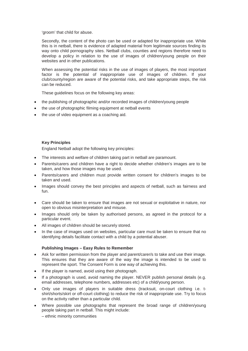'groom' that child for abuse.

Secondly, the content of the photo can be used or adapted for inappropriate use. While this is in netball, there is evidence of adapted material from legitimate sources finding its way onto child pornography sites. Netball clubs, counties and regions therefore need to develop a policy in relation to the use of images of children/young people on their websites and in other publications.

When assessing the potential risks in the use of images of players, the most important factor is the potential of inappropriate use of images of children. If your club/county/region are aware of the potential risks, and take appropriate steps, the risk can be reduced.

These guidelines focus on the following key areas:

- the publishing of photographic and/or recorded images of children/young people
- the use of photographic filming equipment at netball events
- the use of video equipment as a coaching aid.

### **Key Principles**

England Netball adopt the following key principles:

- The interests and welfare of children taking part in netball are paramount.
- Parents/carers and children have a right to decide whether children's images are to be taken, and how those images may be used.
- Parents/carers and children must provide written consent for children's images to be taken and used.
- Images should convey the best principles and aspects of netball, such as fairness and fun.
- Care should be taken to ensure that images are not sexual or exploitative in nature, nor open to obvious misinterpretation and misuse.
- Images should only be taken by authorised persons, as agreed in the protocol for a particular event.
- All images of children should be securely stored.
- In the case of images used on websites, particular care must be taken to ensure that no identifying details facilitate contact with a child by a potential abuser.

## **Publishing Images – Easy Rules to Remember**

- Ask for written permission from the player and parent/carer/s to take and use their image. This ensures that they are aware of the way the image is intended to be used to represent the sport. The Consent Form is one way of achieving this.
- If the player is named, avoid using their photograph.
- If a photograph is used, avoid naming the player. NEVER publish personal details (e.g. email addresses, telephone numbers, addresses etc) of a child/young person.
- Only use images of players in suitable dress (tracksuit, on-court clothing i.e. tshirt/shorts/skirt or off-court clothing) to reduce the risk of inappropriate use. Try to focus on the activity rather than a particular child.
- Where possible use photographs that represent the broad range of children/young people taking part in netball. This might include:

– ethnic minority communities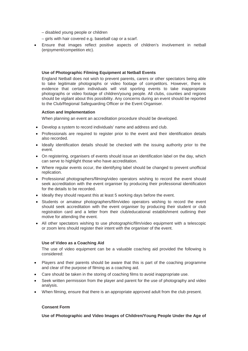- disabled young people or children
- girls with hair covered e.g. baseball cap or a scarf.
- Ensure that images reflect positive aspects of children's involvement in netball (enjoyment/competition etc).

#### **Use of Photographic Filming Equipment at Netball Events**

England Netball does not wish to prevent parents, carers or other spectators being able to take legitimate photographs or video footage of competitors. However, there is evidence that certain individuals will visit sporting events to take inappropriate photographs or video footage of children/young people. All clubs, counties and regions should be vigilant about this possibility. Any concerns during an event should be reported to the Club/Regional Safeguarding Officer or the Event Organiser.

#### **Action and Implementation**

When planning an event an accreditation procedure should be developed.

- Develop a system to record individuals' name and address and club.
- Professionals are required to register prior to the event and their identification details also recorded.
- Ideally identification details should be checked with the issuing authority prior to the event.
- On registering, organisers of events should issue an identification label on the day, which can serve to highlight those who have accreditation.
- Where regular events occur, the identifying label should be changed to prevent unofficial replication.
- Professional photographers/filming/video operators wishing to record the event should seek accreditation with the event organiser by producing their professional identification for the details to be recorded.
- Ideally they should request this at least 5 working days before the event.
- Students or amateur photographers/film/video operators wishing to record the event should seek accreditation with the event organiser by producing their student or club registration card and a letter from their club/educational establishment outlining their motive for attending the event.
- All other spectators wishing to use photographic/film/video equipment with a telescopic or zoom lens should register their intent with the organiser of the event.

#### **Use of Video as a Coaching Aid**

The use of video equipment can be a valuable coaching aid provided the following is considered:

- Players and their parents should be aware that this is part of the coaching programme and clear of the purpose of filming as a coaching aid.
- Care should be taken in the storing of coaching films to avoid inappropriate use.
- Seek written permission from the player and parent for the use of photography and video analysis.
- When filming, ensure that there is an appropriate approved adult from the club present.

## **Consent Form**

**Use of Photographic and Video Images of Children/Young People Under the Age of**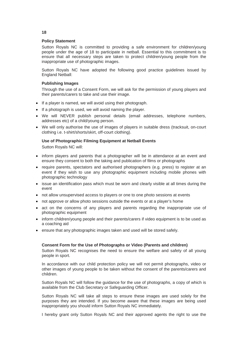#### **Policy Statement**

Sutton Royals NC is committed to providing a safe environment for children/young people under the age of 18 to participate in netball. Essential to this commitment is to ensure that all necessary steps are taken to protect children/young people from the inappropriate use of photographic images.

Sutton Royals NC have adopted the following good practice guidelines issued by England Netball:

#### **Publishing Images**

Through the use of a Consent Form, we will ask for the permission of young players and their parents/carers to take and use their image.

- If a player is named, we will avoid using their photograph.
- If a photograph is used, we will avoid naming the player.
- We will NEVER publish personal details (email addresses, telephone numbers, addresses etc) of a child/young person.
- We will only authorise the use of images of players in suitable dress (tracksuit, on-court clothing i.e. t-shirt/shorts/skirt, off-court clothing).

### **Use of Photographic Filming Equipment at Netball Events**

Sutton Royals NC will:

- inform players and parents that a photographer will be in attendance at an event and ensure they consent to both the taking and publication of films or photographs
- require parents, spectators and authorised photographers (e.g. press) to register at an event if they wish to use any photographic equipment including mobile phones with photographic technology
- issue an identification pass which must be worn and clearly visible at all times during the event
- not allow unsupervised access to players or one to one photo sessions at events
- not approve or allow photo sessions outside the events or at a player's home
- act on the concerns of any players and parents regarding the inappropriate use of photographic equipment
- inform children/young people and their parents/carers if video equipment is to be used as a coaching aid
- ensure that any photographic images taken and used will be stored safely.

#### **Consent Form for the Use of Photographs or Video (Parents and children)**

Sutton Royals NC recognises the need to ensure the welfare and safety of all young people in sport.

In accordance with our child protection policy we will not permit photographs, video or other images of young people to be taken without the consent of the parents/carers and children.

Sutton Royals NC will follow the guidance for the use of photographs, a copy of which is available from the Club Secretary or Safeguarding Officer.

Sutton Royals NC will take all steps to ensure these images are used solely for the purposes they are intended. If you become aware that these images are being used inappropriately you should inform Sutton Royals NC immediately.

I hereby grant only Sutton Royals NC and their approved agents the right to use the

#### **18**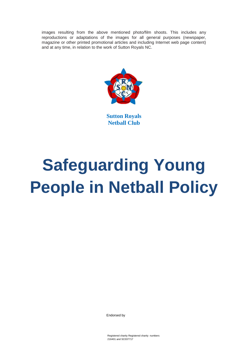images resulting from the above mentioned photo/film shoots. This includes any reproductions or adaptations of the images for all general purposes (newspaper, magazine or other printed promotional articles and including Internet web page content) and at any time, in relation to the work of Sutton Royals NC.



**Sutton Royals Netball Club**

# **Safeguarding Young People in Netball Policy**

Endorsed by

Registered charity Registered charity numbers 216401 and SC037717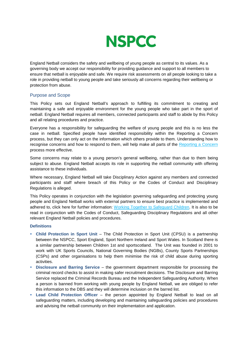

England Netball considers the safety and wellbeing of young people as central to its values. As a governing body we accept our responsibility for providing guidance and support to all members to ensure that netball is enjoyable and safe. We require risk assessments on all people looking to take a role in providing netball to young people and take seriously all concerns regarding their wellbeing or protection from abuse.

## Purpose and Scope

This Policy sets out England Netball's approach to fulfilling its commitment to creating and maintaining a safe and enjoyable environment for the young people who take part in the sport of netball. England Netball requires all members, connected participants and staff to abide by this Policy and all relating procedures and practice.

Everyone has a responsibility for safeguarding the welfare of young people and this is no less the case in netball. Specified people have identified responsibility within the Reporting a Concern process, but they can only act on the information which others provide to them. Understanding how to recognise concerns and how to respond to them, will help make all parts of the Reporting a Concern process more effective.

Some concerns may relate to a young person's general wellbeing, rather than due to them being subject to abuse. England Netball accepts its role in supporting the netball community with offering assistance to these individuals.

Where necessary, England Netball will take Disciplinary Action against any members and connected participants and staff where breach of this Policy or the Codes of Conduct and Disciplinary Regulations is alleged.

This Policy operates in conjunction with the legislation governing safeguarding and protecting young people and England Netball works with external partners to ensure best practice is implemented and adhered to, click here for further information: [Working Together to Safeguard Children.](http://www.workingtogetheronline.co.uk/index.html) It is also to be read in conjunction with the Codes of Conduct, Safeguarding Disciplinary Regulations and all other relevant England Netball policies and procedures.

#### **Definitions**

- **Child Protection in Sport Unit** The Child Protection in Sport Unit (CPSU) is a partnership between the NSPCC, Sport England, Sport Northern Ireland and Sport Wales. In Scotland there is a similar partnership between Children 1st and sportscotland. The Unit was founded in 2001 to work with UK Sports Councils, National Governing Bodies (NGBs), County Sports Partnerships (CSPs) and other organisations to help them minimise the risk of child abuse during sporting activities.
- **Disclosure and Barring Service** the government department responsible for processing the criminal record checks to assist in making safer recruitment decisions. The Disclosure and Barring Service replaced the Criminal Records Bureau and the Independent Safeguarding Authority. When a person is banned from working with young people by England Netball, we are obliged to refer this information to the DBS and they will determine inclusion on the barred list.
- **Lead Child Protection Officer** the person appointed by England Netball to lead on all safeguarding matters, including developing and maintaining safeguarding policies and procedures and advising the netball community on their implementation and application.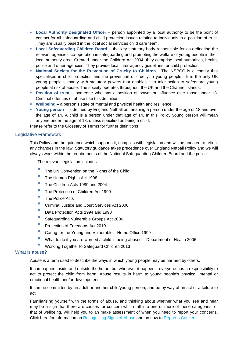- **Local Authority Designated Officer** person appointed by a local authority to be the point of contact for all safeguarding and child protection issues relating to individuals in a position of trust. They are usually based in the local social services child care team.
- **Local Safeguarding Children Board** the key statutory body responsible for co-ordinating the relevant agencies' co-operation in safeguarding and promoting the welfare of young people in their local authority area. Created under the Children Act 2004, they comprise local authorities, health, police and other agencies. They provide local inter-agency guidelines for child protection.
- **National Society for the Prevention of Cruelty to Children** The NSPCC is a charity that specialises in child protection and the prevention of cruelty to young people. It is the only UK young people's charity with statutory powers that enables it to take action to safeguard young people at risk of abuse. The society operates throughout the UK and the Channel Islands.
- **Position of trust** someone who has a position of power or influence over those under 18. Criminal offences of abuse use this definition.
- **Wellbeing** a person's state of mental and physical health and resilience
- **Young person** is defined by England Netball as meaning a person under the age of 18 and over the age of 14. A child is a person under that age of 14. In this Policy young person will mean anyone under the age of 18, unless specified as being a child.

Please refer to the Glossary of Terms for further definitions

## Legislative Framework

This Policy and the guidance which supports it, complies with legislation and will be updated to reflect any changes in the law. Statutory guidance takes precedence over England Netball Policy and we will always work within the requirements of the National Safeguarding Children Board and the police.

The relevant legislation includes:-

- The UN Convention on the Rights of the Child
- The Human Rights Act 1998
- The Children Acts 1989 and 2004
- The Protection of Children Act 1999
- $\blacksquare$  The Police Acts
- Criminal Justice and Court Services Act 2000
- Data Protection Acts 1994 and 1998
- Safeguarding Vulnerable Groups Act 2006
- **Protection of Freedoms Act 2010**
- Caring for the Young and Vulnerable Home Office 1999
- What to do if you are worried a child is being abused Department of Health 2006
- Working Together to Safeguard Children 2013

### What is abuse?

Abuse is a term used to describe the ways in which young people may be harmed by others.

It can happen inside and outside the home, but wherever it happens, everyone has a responsibility to act to protect the child from harm. Abuse results in harm to young people's physical, mental or emotional health and/or development.

It can be committed by an adult or another child/young person, and be by way of an act or a failure to act.

Familiarising yourself with the forms of abuse, and thinking about whether what you see and hear may be a sign that there are causes for concern which fall into one or more of these categories, or that of wellbeing, will help you to an make assessment of when you need to report your concerns. Click here for information on Recognising Signs of Abuse and on how to Report a Concern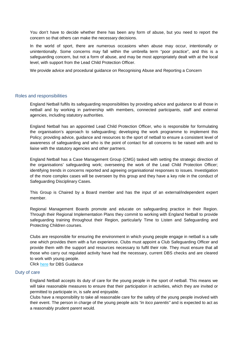You don't have to decide whether there has been any form of abuse, but you need to report the concern so that others can make the necessary decisions.

In the world of sport, there are numerous occasions when abuse may occur, intentionally or unintentionally. Some concerns may fall within the umbrella term "poor practice", and this is a safeguarding concern, but not a form of abuse, and may be most appropriately dealt with at the local level, with support from the Lead Child Protection Officer.

We provide advice and procedural guidance on Recognising Abuse and Reporting a Concern

### Roles and responsibilities

England Netball fulfils its safeguarding responsibilities by providing advice and guidance to all those in netball and by working in partnership with members, connected participants, staff and external agencies, including statutory authorities.

England Netball has an appointed Lead Child Protection Officer, who is responsible for formulating the organisation's approach to safeguarding; developing the work programme to implement this Policy; providing advice, guidance and resources to the sport of netball to ensure a consistent level of awareness of safeguarding and who is the point of contact for all concerns to be raised with and to liaise with the statutory agencies and other partners.

England Netball has a Case Management Group (CMG) tasked with setting the strategic direction of the organisations' safeguarding work; overseeing the work of the Lead Child Protection Officer; identifying trends in concerns reported and agreeing organisational responses to issues. Investigation of the more complex cases will be overseen by this group and they have a key role in the conduct of Safeguarding Disciplinary Cases.

This Group is Chaired by a Board member and has the input of an external/independent expert member.

Regional Management Boards promote and educate on safeguarding practice in their Region. Through their Regional Implementation Plans they commit to working with England Netball to provide safeguarding training throughout their Region, particularly Time to Listen and Safeguarding and Protecting Children courses.

Clubs are responsible for ensuring the environment in which young people engage in netball is a safe one which provides them with a fun experience. Clubs must appoint a Club Safeguarding Officer and provide them with the support and resources necessary to fulfil their role. They must ensure that all those who carry out regulated activity have had the necessary, current DBS checks and are cleared to work with young people.

Click [here](http://www.englandnetball.co.uk/make-the-game/ENjoy_ENsure_ENtrust/Safeguarding/DBS) for DBS Guidance

## Duty of care

England Netball accepts its duty of care for the young people in the sport of netball. This means we will take reasonable measures to ensure that their participation in activities, which they are invited or permitted to participate in, is safe and enjoyable.

Clubs have a responsibility to take all reasonable care for the safety of the young people involved with their event. The person in charge of the young people acts *"in loco parentis"* and is expected to act as a reasonably prudent parent would.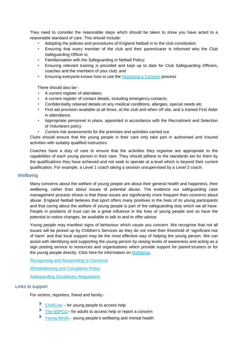They need to consider the reasonable steps which should be taken to show you have acted to a reasonable standard of care. This should include:

- Adopting the policies and procedures of England Netball in to the club constitution;
- **Ensuring that every member of the club and their parent/carer is informed who the Club** Safeguarding Officer is;
- **Familiarisation with the Safeguarding in Netball Policy;**
- Ensuring relevant training is provided and kept up to date for Club Safeguarding Officers, coaches and the members of your club; and
- **Ensuring everyone knows how to use the Reporting a Concern process**

There should also be:-

- A current register of attendees;
- A current register of contact details, including emergency contacts;
- Confidentiality retained details on any medical conditions, allergies, special needs etc
- First aid provision available at all times, at the club and when off site, and a trained First Aider in attendance;
- Appropriate personnel in place, appointed in accordance with the Recruitment and Selection of Volunteers policy
- Current risk assessments for the premises and activities carried out.

Clubs should ensure that the young people in their care only take part in authorised and insured activities with suitably qualified instructors.

Coaches have a duty of care to ensure that the activities they organise are appropriate to the capabilities of each young person in their care. They should adhere to the standards set for them by the qualifications they have achieved and not seek to operate at a level which is beyond their current qualification. For example, a Level 1 coach taking a session unsupervised by a Level 2 coach.

#### **Wellbeing**

Many concerns about the welfare of young people are about their general health and happiness, their wellbeing, rather than about issues of potential abuse. The evidence our safeguarding case management process shows is that these issues are significantly more frequent than concerns about abuse. England Netball believes that sport offers many positives in the lives of its young participants and that caring about the welfare of young people is part of the safeguarding duty which we all have. People in positions of trust can be a great influence in the lives of young people and so have the potential to notice changes, be available to talk to and to offer advice.

Young people may manifest signs of behaviour which cause you concern. We recognise that not all issues will be picked up by Children's Services as they do not meet their threshold of 'significant risk of harm' and that local support may be the most effective way of helping the young person. We can assist with identifying and supporting the young person by raising levels of awareness and acting as a sign posting service to resources and organisations which provide support for parent's/carers or for the young people directly. Click here for information on [Wellbeing.](http://www.englandnetball.co.uk/make-the-game/ENjoy_ENsure_ENtrust/Safeguarding/Wellbeing)

Recognising and Responding to Concerns

Whistleblowing and Complaints Policy

Safeguarding Disciplinary Regulations

## Links to support

For victims, reporters, friend and family:-

- $\triangleright$  [ChildLine](http://www.childline.org.uk/Pages/Home.aspx) for young people to access help
- [The NSPCC–](http://www.nspcc.org.uk/) for adults to access help or report a concern
- [Young Minds](http://www.youngminds.org.uk/for_children_young_people) young people's wellbeing and mental health